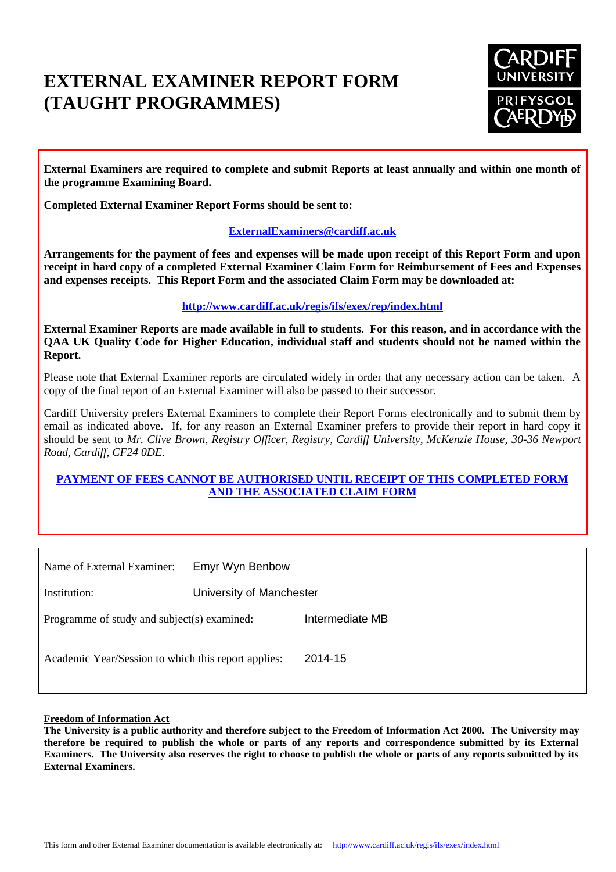# **EXTERNAL EXAMINER REPORT FORM (TAUGHT PROGRAMMES)**



**External Examiners are required to complete and submit Reports at least annually and within one month of the programme Examining Board.**

**Completed External Examiner Report Forms should be sent to:**

# **[ExternalExaminers@cardiff.ac.uk](mailto:ExternalExaminers@cardiff.ac.uk)**

**Arrangements for the payment of fees and expenses will be made upon receipt of this Report Form and upon receipt in hard copy of a completed External Examiner Claim Form for Reimbursement of Fees and Expenses and expenses receipts. This Report Form and the associated Claim Form may be downloaded at:**

#### **<http://www.cardiff.ac.uk/regis/ifs/exex/rep/index.html>**

**External Examiner Reports are made available in full to students. For this reason, and in accordance with the QAA UK Quality Code for Higher Education, individual staff and students should not be named within the Report.**

Please note that External Examiner reports are circulated widely in order that any necessary action can be taken. A copy of the final report of an External Examiner will also be passed to their successor.

Cardiff University prefers External Examiners to complete their Report Forms electronically and to submit them by email as indicated above. If, for any reason an External Examiner prefers to provide their report in hard copy it should be sent to *Mr. Clive Brown, Registry Officer, Registry, Cardiff University, McKenzie House, 30-36 Newport Road, Cardiff, CF24 0DE.*

#### **PAYMENT OF FEES CANNOT BE AUTHORISED UNTIL RECEIPT OF THIS COMPLETED FORM AND THE ASSOCIATED CLAIM FORM**

| Name of External Examiner:                          | Emyr Wyn Benbow          |                 |
|-----------------------------------------------------|--------------------------|-----------------|
| Institution:                                        | University of Manchester |                 |
| Programme of study and subject(s) examined:         |                          | Intermediate MB |
| Academic Year/Session to which this report applies: |                          | 2014-15         |

#### **Freedom of Information Act**

**The University is a public authority and therefore subject to the Freedom of Information Act 2000. The University may therefore be required to publish the whole or parts of any reports and correspondence submitted by its External Examiners. The University also reserves the right to choose to publish the whole or parts of any reports submitted by its External Examiners.**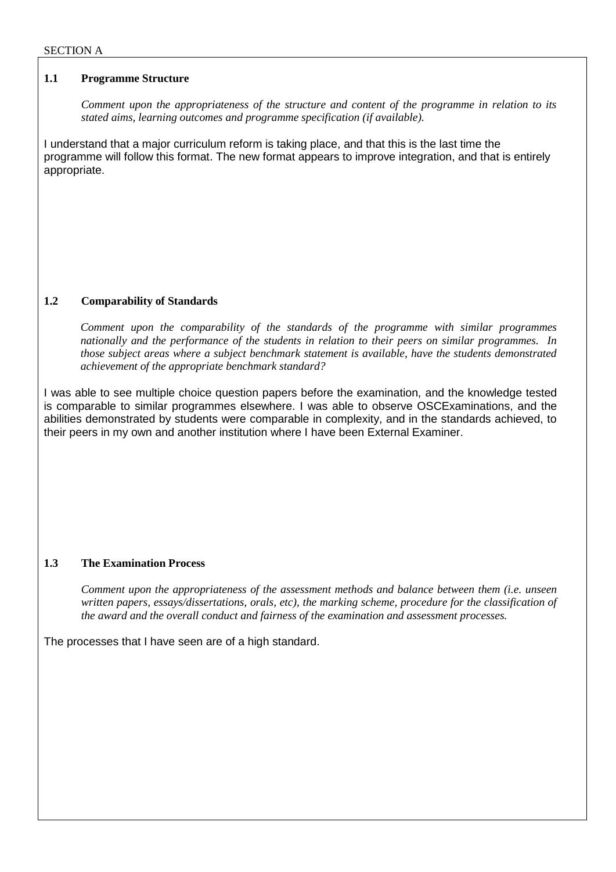#### **1.1 Programme Structure**

*Comment upon the appropriateness of the structure and content of the programme in relation to its stated aims, learning outcomes and programme specification (if available).*

I understand that a major curriculum reform is taking place, and that this is the last time the programme will follow this format. The new format appears to improve integration, and that is entirely appropriate.

# **1.2 Comparability of Standards**

*Comment upon the comparability of the standards of the programme with similar programmes nationally and the performance of the students in relation to their peers on similar programmes. In those subject areas where a subject benchmark statement is available, have the students demonstrated achievement of the appropriate benchmark standard?*

I was able to see multiple choice question papers before the examination, and the knowledge tested is comparable to similar programmes elsewhere. I was able to observe OSCExaminations, and the abilities demonstrated by students were comparable in complexity, and in the standards achieved, to their peers in my own and another institution where I have been External Examiner.

# **1.3 The Examination Process**

*Comment upon the appropriateness of the assessment methods and balance between them (i.e. unseen written papers, essays/dissertations, orals, etc), the marking scheme, procedure for the classification of the award and the overall conduct and fairness of the examination and assessment processes.*

The processes that I have seen are of a high standard.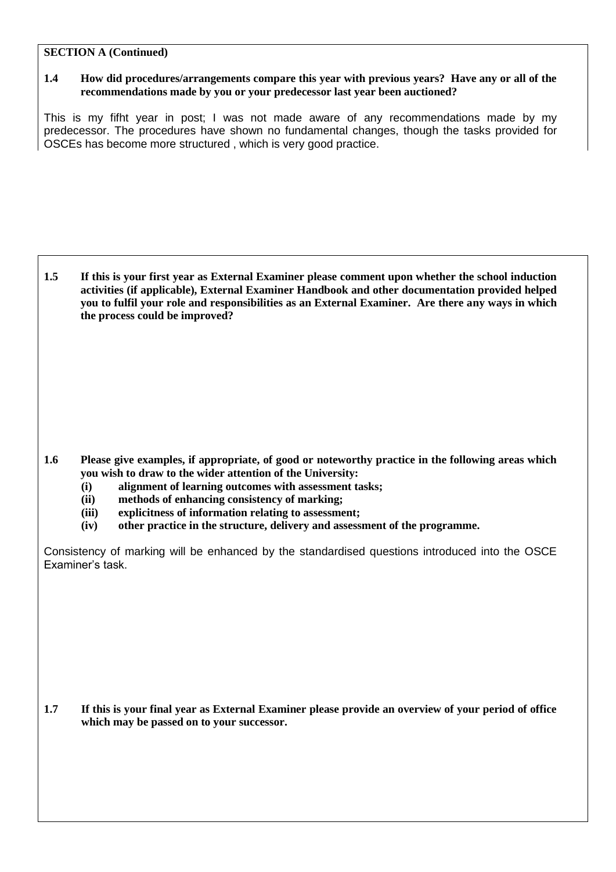#### **SECTION A (Continued)**

## **1.4 How did procedures/arrangements compare this year with previous years? Have any or all of the recommendations made by you or your predecessor last year been auctioned?**

This is my fifht year in post; I was not made aware of any recommendations made by my predecessor. The procedures have shown no fundamental changes, though the tasks provided for OSCEs has become more structured , which is very good practice.

**1.5 If this is your first year as External Examiner please comment upon whether the school induction activities (if applicable), External Examiner Handbook and other documentation provided helped you to fulfil your role and responsibilities as an External Examiner. Are there any ways in which the process could be improved?**

**1.6 Please give examples, if appropriate, of good or noteworthy practice in the following areas which you wish to draw to the wider attention of the University:**

- **(i) alignment of learning outcomes with assessment tasks;**
- **(ii) methods of enhancing consistency of marking;**
- **(iii) explicitness of information relating to assessment;**
- **(iv) other practice in the structure, delivery and assessment of the programme.**

Consistency of marking will be enhanced by the standardised questions introduced into the OSCE Examiner's task.

**1.7 If this is your final year as External Examiner please provide an overview of your period of office which may be passed on to your successor.**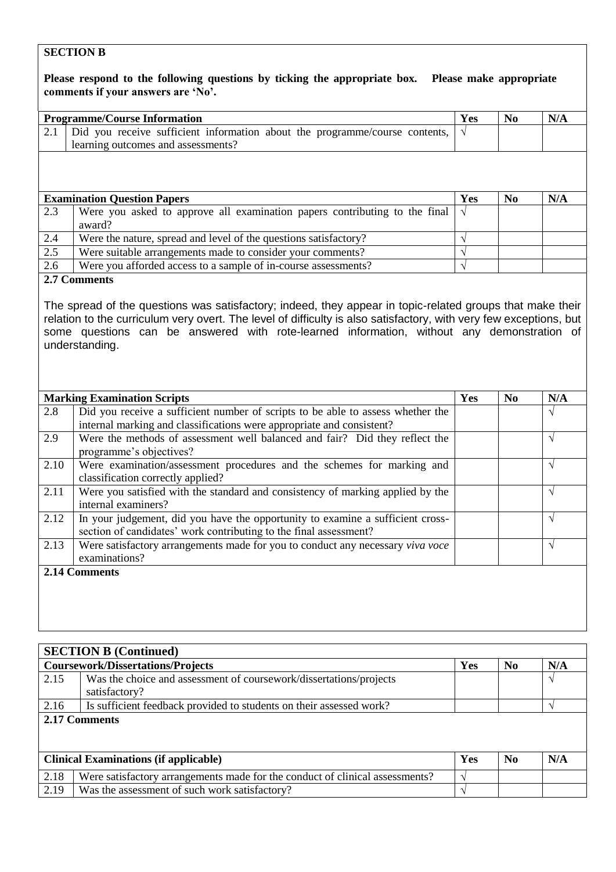# **SECTION B**

| Please respond to the following questions by ticking the appropriate box. Please make appropriate |                                                                                                                                                     |            |                |            |
|---------------------------------------------------------------------------------------------------|-----------------------------------------------------------------------------------------------------------------------------------------------------|------------|----------------|------------|
|                                                                                                   | comments if your answers are 'No'.                                                                                                                  |            |                |            |
| <b>Programme/Course Information</b>                                                               |                                                                                                                                                     |            | N <sub>0</sub> | N/A        |
| 2.1                                                                                               | Did you receive sufficient information about the programme/course contents,                                                                         | $\sqrt{ }$ |                |            |
|                                                                                                   | learning outcomes and assessments?                                                                                                                  |            |                |            |
|                                                                                                   |                                                                                                                                                     |            |                |            |
| <b>Examination Question Papers</b>                                                                |                                                                                                                                                     |            | No             | N/A        |
| 2.3                                                                                               | Were you asked to approve all examination papers contributing to the final<br>award?                                                                | $\sqrt{ }$ |                |            |
| 2.4                                                                                               | Were the nature, spread and level of the questions satisfactory?                                                                                    | $\sqrt{}$  |                |            |
| 2.5                                                                                               | Were suitable arrangements made to consider your comments?                                                                                          | $\sqrt{}$  |                |            |
| 2.6                                                                                               | Were you afforded access to a sample of in-course assessments?                                                                                      |            |                |            |
|                                                                                                   | some questions can be answered with rote-learned information, without any demonstration of<br>understanding.                                        |            |                |            |
| <b>Marking Examination Scripts</b>                                                                |                                                                                                                                                     | Yes        | N <sub>0</sub> | N/A        |
| 2.8                                                                                               | Did you receive a sufficient number of scripts to be able to assess whether the                                                                     |            |                | V          |
|                                                                                                   | internal marking and classifications were appropriate and consistent?                                                                               |            |                |            |
| 2.9                                                                                               | Were the methods of assessment well balanced and fair? Did they reflect the<br>programme's objectives?                                              |            |                | $\sqrt{ }$ |
| 2.10                                                                                              | Were examination/assessment procedures and the schemes for marking and<br>classification correctly applied?                                         |            |                | $\sqrt{ }$ |
| 2.11                                                                                              | Were you satisfied with the standard and consistency of marking applied by the<br>internal examiners?                                               |            |                | $\sqrt{ }$ |
| 2.12                                                                                              | In your judgement, did you have the opportunity to examine a sufficient cross-<br>section of candidates' work contributing to the final assessment? |            |                | $\sqrt{ }$ |
| 2.13                                                                                              | Were satisfactory arrangements made for you to conduct any necessary viva voce<br>examinations?                                                     |            |                | $\sqrt{}$  |
|                                                                                                   | 2.14 Comments                                                                                                                                       |            |                |            |

| <b>SECTION B (Continued)</b>                 |                                                                              |     |                |     |  |  |
|----------------------------------------------|------------------------------------------------------------------------------|-----|----------------|-----|--|--|
| <b>Coursework/Dissertations/Projects</b>     |                                                                              | Yes | N <sub>0</sub> | N/A |  |  |
| 2.15                                         | Was the choice and assessment of coursework/dissertations/projects           |     |                |     |  |  |
|                                              | satisfactory?                                                                |     |                |     |  |  |
| 2.16                                         | Is sufficient feedback provided to students on their assessed work?          |     |                |     |  |  |
| 2.17 Comments                                |                                                                              |     |                |     |  |  |
|                                              |                                                                              |     |                |     |  |  |
|                                              |                                                                              |     |                |     |  |  |
| <b>Clinical Examinations (if applicable)</b> |                                                                              | Yes | N <sub>0</sub> | N/A |  |  |
| 2.18                                         | Were satisfactory arrangements made for the conduct of clinical assessments? |     |                |     |  |  |
| 2.19                                         | Was the assessment of such work satisfactory?                                |     |                |     |  |  |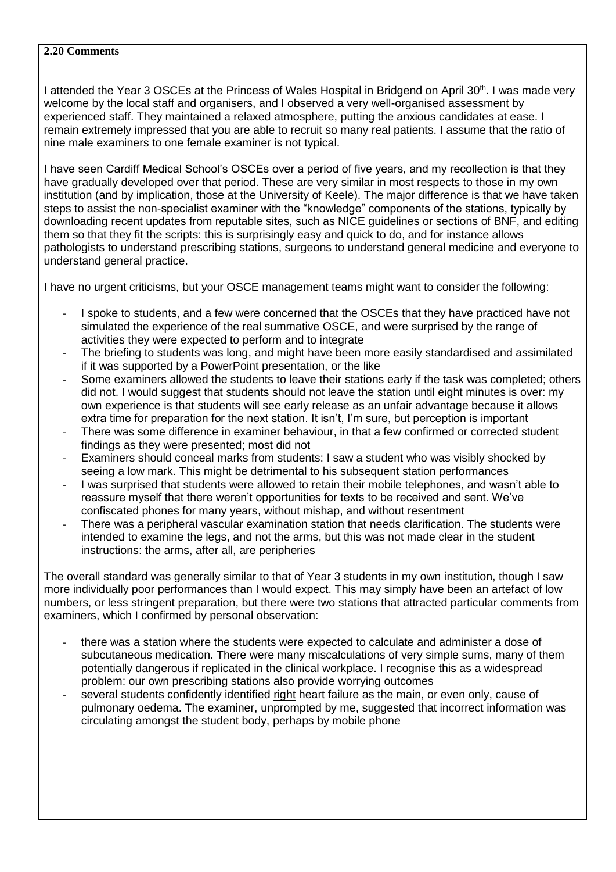# **2.20 Comments**

I attended the Year 3 OSCEs at the Princess of Wales Hospital in Bridgend on April 30<sup>th</sup>. I was made very welcome by the local staff and organisers, and I observed a very well-organised assessment by experienced staff. They maintained a relaxed atmosphere, putting the anxious candidates at ease. I remain extremely impressed that you are able to recruit so many real patients. I assume that the ratio of nine male examiners to one female examiner is not typical.

I have seen Cardiff Medical School's OSCEs over a period of five years, and my recollection is that they have gradually developed over that period. These are very similar in most respects to those in my own institution (and by implication, those at the University of Keele). The major difference is that we have taken steps to assist the non-specialist examiner with the "knowledge" components of the stations, typically by downloading recent updates from reputable sites, such as NICE guidelines or sections of BNF, and editing them so that they fit the scripts: this is surprisingly easy and quick to do, and for instance allows pathologists to understand prescribing stations, surgeons to understand general medicine and everyone to understand general practice.

I have no urgent criticisms, but your OSCE management teams might want to consider the following:

- I spoke to students, and a few were concerned that the OSCEs that they have practiced have not simulated the experience of the real summative OSCE, and were surprised by the range of activities they were expected to perform and to integrate
- The briefing to students was long, and might have been more easily standardised and assimilated if it was supported by a PowerPoint presentation, or the like
- Some examiners allowed the students to leave their stations early if the task was completed; others did not. I would suggest that students should not leave the station until eight minutes is over: my own experience is that students will see early release as an unfair advantage because it allows extra time for preparation for the next station. It isn't, I'm sure, but perception is important
- There was some difference in examiner behaviour, in that a few confirmed or corrected student findings as they were presented; most did not
- Examiners should conceal marks from students: I saw a student who was visibly shocked by seeing a low mark. This might be detrimental to his subsequent station performances
- I was surprised that students were allowed to retain their mobile telephones, and wasn't able to reassure myself that there weren't opportunities for texts to be received and sent. We've confiscated phones for many years, without mishap, and without resentment
- There was a peripheral vascular examination station that needs clarification. The students were intended to examine the legs, and not the arms, but this was not made clear in the student instructions: the arms, after all, are peripheries

The overall standard was generally similar to that of Year 3 students in my own institution, though I saw more individually poor performances than I would expect. This may simply have been an artefact of low numbers, or less stringent preparation, but there were two stations that attracted particular comments from examiners, which I confirmed by personal observation:

- there was a station where the students were expected to calculate and administer a dose of subcutaneous medication. There were many miscalculations of very simple sums, many of them potentially dangerous if replicated in the clinical workplace. I recognise this as a widespread problem: our own prescribing stations also provide worrying outcomes
- several students confidently identified right heart failure as the main, or even only, cause of pulmonary oedema. The examiner, unprompted by me, suggested that incorrect information was circulating amongst the student body, perhaps by mobile phone